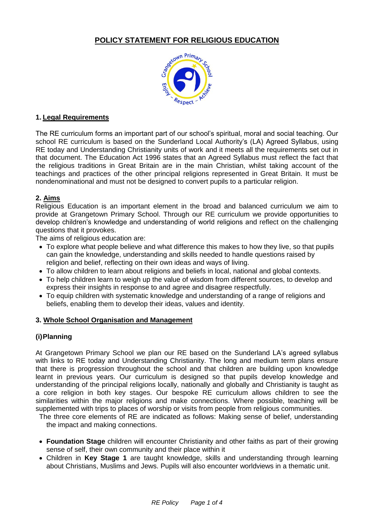

## **1. Legal Requirements**

The RE curriculum forms an important part of our school's spiritual, moral and social teaching. Our school RE curriculum is based on the Sunderland Local Authority's (LA) Agreed Syllabus, using RE today and Understanding Christianity units of work and it meets all the requirements set out in that document. The Education Act 1996 states that an Agreed Syllabus must reflect the fact that the religious traditions in Great Britain are in the main Christian, whilst taking account of the teachings and practices of the other principal religions represented in Great Britain. It must be nondenominational and must not be designed to convert pupils to a particular religion.

## **2. Aims**

Religious Education is an important element in the broad and balanced curriculum we aim to provide at Grangetown Primary School. Through our RE curriculum we provide opportunities to develop children's knowledge and understanding of world religions and reflect on the challenging questions that it provokes.

The aims of religious education are:

- To explore what people believe and what difference this makes to how they live, so that pupils can gain the knowledge, understanding and skills needed to handle questions raised by religion and belief, reflecting on their own ideas and ways of living.
- To allow children to learn about religions and beliefs in local, national and global contexts.
- To help children learn to weigh up the value of wisdom from different sources, to develop and express their insights in response to and agree and disagree respectfully.
- To equip children with systematic knowledge and understanding of a range of religions and beliefs, enabling them to develop their ideas, values and identity.

#### **3. Whole School Organisation and Management**

# **(i)Planning**

At Grangetown Primary School we plan our RE based on the Sunderland LA's agreed syllabus with links to RE today and Understanding Christianity. The long and medium term plans ensure that there is progression throughout the school and that children are building upon knowledge learnt in previous years. Our curriculum is designed so that pupils develop knowledge and understanding of the principal religions locally, nationally and globally and Christianity is taught as a core religion in both key stages. Our bespoke RE curriculum allows children to see the similarities within the major religions and make connections. Where possible, teaching will be supplemented with trips to places of worship or visits from people from religious communities.

The three core elements of RE are indicated as follows: Making sense of belief, understanding the impact and making connections.

- **Foundation Stage** children will encounter Christianity and other faiths as part of their growing sense of self, their own community and their place within it
- Children in **Key Stage 1** are taught knowledge, skills and understanding through learning about Christians, Muslims and Jews. Pupils will also encounter worldviews in a thematic unit.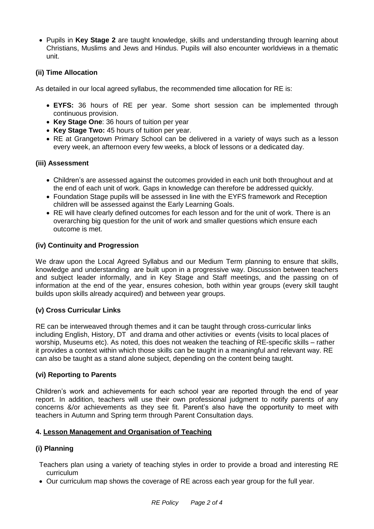Pupils in **Key Stage 2** are taught knowledge, skills and understanding through learning about Christians, Muslims and Jews and Hindus. Pupils will also encounter worldviews in a thematic unit.

## **(ii) Time Allocation**

As detailed in our local agreed syllabus, the recommended time allocation for RE is:

- **EYFS:** 36 hours of RE per year. Some short session can be implemented through continuous provision.
- **Key Stage One**: 36 hours of tuition per year
- **Key Stage Two:** 45 hours of tuition per year.
- RE at Grangetown Primary School can be delivered in a variety of ways such as a lesson every week, an afternoon every few weeks, a block of lessons or a dedicated day.

## **(iii) Assessment**

- Children's are assessed against the outcomes provided in each unit both throughout and at the end of each unit of work. Gaps in knowledge can therefore be addressed quickly.
- Foundation Stage pupils will be assessed in line with the EYFS framework and Reception children will be assessed against the Early Learning Goals.
- RE will have clearly defined outcomes for each lesson and for the unit of work. There is an overarching big question for the unit of work and smaller questions which ensure each outcome is met.

## **(iv) Continuity and Progression**

We draw upon the Local Agreed Syllabus and our Medium Term planning to ensure that skills, knowledge and understanding are built upon in a progressive way. Discussion between teachers and subject leader informally, and in Key Stage and Staff meetings, and the passing on of information at the end of the year, ensures cohesion, both within year groups (every skill taught builds upon skills already acquired) and between year groups.

#### **(v) Cross Curricular Links**

RE can be interweaved through themes and it can be taught through cross-curricular links including English, History, DT and drama and other activities or events (visits to local places of worship, Museums etc). As noted, this does not weaken the teaching of RE-specific skills – rather it provides a context within which those skills can be taught in a meaningful and relevant way. RE can also be taught as a stand alone subject, depending on the content being taught.

#### **(vi) Reporting to Parents**

Children's work and achievements for each school year are reported through the end of year report. In addition, teachers will use their own professional judgment to notify parents of any concerns &/or achievements as they see fit. Parent's also have the opportunity to meet with teachers in Autumn and Spring term through Parent Consultation days.

#### **4. Lesson Management and Organisation of Teaching**

# **(i) Planning**

- Teachers plan using a variety of teaching styles in order to provide a broad and interesting RE curriculum
- Our curriculum map shows the coverage of RE across each year group for the full year.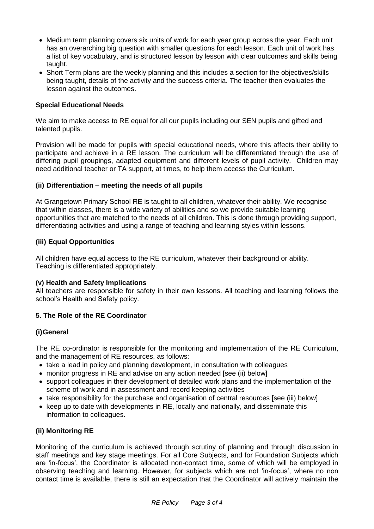- Medium term planning covers six units of work for each year group across the year. Each unit has an overarching big question with smaller questions for each lesson. Each unit of work has a list of key vocabulary, and is structured lesson by lesson with clear outcomes and skills being taught.
- Short Term plans are the weekly planning and this includes a section for the objectives/skills being taught, details of the activity and the success criteria. The teacher then evaluates the lesson against the outcomes.

## **Special Educational Needs**

We aim to make access to RE equal for all our pupils including our SEN pupils and gifted and talented pupils.

Provision will be made for pupils with special educational needs, where this affects their ability to participate and achieve in a RE lesson. The curriculum will be differentiated through the use of differing pupil groupings, adapted equipment and different levels of pupil activity. Children may need additional teacher or TA support, at times, to help them access the Curriculum.

#### **(ii) Differentiation – meeting the needs of all pupils**

At Grangetown Primary School RE is taught to all children, whatever their ability. We recognise that within classes, there is a wide variety of abilities and so we provide suitable learning opportunities that are matched to the needs of all children. This is done through providing support, differentiating activities and using a range of teaching and learning styles within lessons.

#### **(iii) Equal Opportunities**

All children have equal access to the RE curriculum, whatever their background or ability. Teaching is differentiated appropriately.

#### **(v) Health and Safety Implications**

All teachers are responsible for safety in their own lessons. All teaching and learning follows the school's Health and Safety policy.

#### **5. The Role of the RE Coordinator**

#### **(i)General**

The RE co-ordinator is responsible for the monitoring and implementation of the RE Curriculum, and the management of RE resources, as follows:

- take a lead in policy and planning development, in consultation with colleagues
- monitor progress in RE and advise on any action needed [see (ii) below]
- support colleagues in their development of detailed work plans and the implementation of the scheme of work and in assessment and record keeping activities
- take responsibility for the purchase and organisation of central resources [see (iii) below]
- keep up to date with developments in RE, locally and nationally, and disseminate this information to colleagues.

#### **(ii) Monitoring RE**

Monitoring of the curriculum is achieved through scrutiny of planning and through discussion in staff meetings and key stage meetings. For all Core Subjects, and for Foundation Subjects which are 'in-focus', the Coordinator is allocated non-contact time, some of which will be employed in observing teaching and learning. However, for subjects which are not 'in-focus', where no non contact time is available, there is still an expectation that the Coordinator will actively maintain the